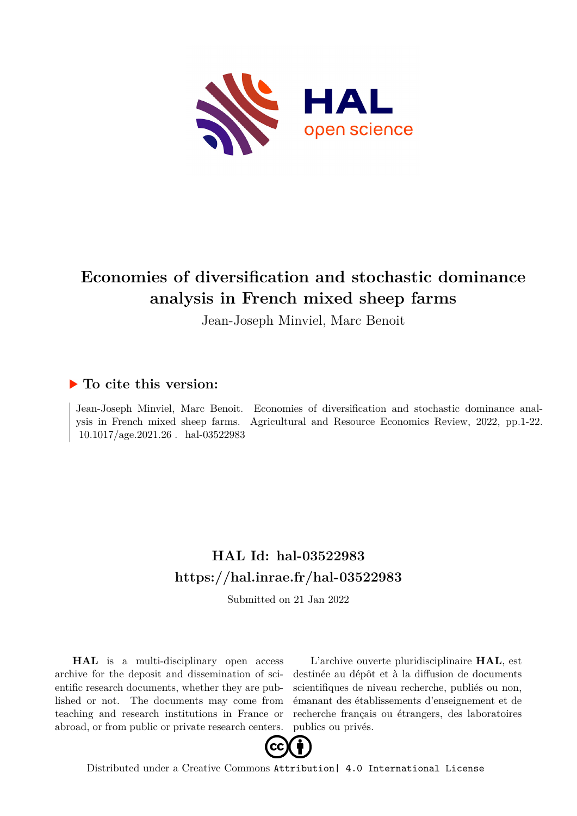

# **Economies of diversification and stochastic dominance analysis in French mixed sheep farms**

Jean-Joseph Minviel, Marc Benoit

## **To cite this version:**

Jean-Joseph Minviel, Marc Benoit. Economies of diversification and stochastic dominance analysis in French mixed sheep farms. Agricultural and Resource Economics Review, 2022, pp.1-22.  $10.1017/age.2021.26$ . hal-03522983

# **HAL Id: hal-03522983 <https://hal.inrae.fr/hal-03522983>**

Submitted on 21 Jan 2022

**HAL** is a multi-disciplinary open access archive for the deposit and dissemination of scientific research documents, whether they are published or not. The documents may come from teaching and research institutions in France or abroad, or from public or private research centers.

L'archive ouverte pluridisciplinaire **HAL**, est destinée au dépôt et à la diffusion de documents scientifiques de niveau recherche, publiés ou non, émanant des établissements d'enseignement et de recherche français ou étrangers, des laboratoires publics ou privés.



Distributed under a Creative Commons [Attribution| 4.0 International License](http://creativecommons.org/licenses/by/4.0/)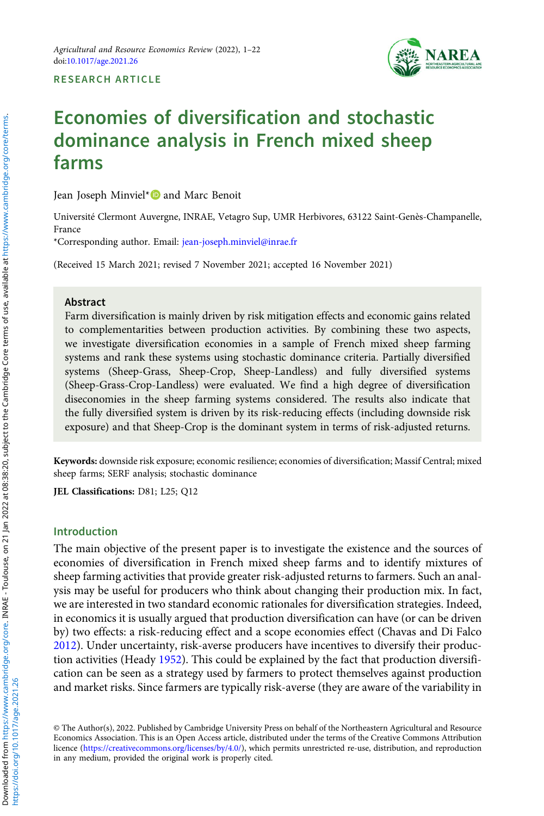

RESEARCH ARTICLE

## Economies of diversification and stochastic dominance analysis in French mixed sheep farms

Jean Joseph Minviel\* and Marc Benoit

Université Clermont Auvergne, INRAE, Vetagro Sup, UMR Herbivores, 63122 Saint-Genès-Champanelle, France

\*Corresponding author. Email: [jean-joseph.minviel@inrae.fr](mailto:jean-joseph.minviel@inrae.fr)

(Received 15 March 2021; revised 7 November 2021; accepted 16 November 2021)

#### Abstract

Farm diversification is mainly driven by risk mitigation effects and economic gains related to complementarities between production activities. By combining these two aspects, we investigate diversification economies in a sample of French mixed sheep farming systems and rank these systems using stochastic dominance criteria. Partially diversified systems (Sheep-Grass, Sheep-Crop, Sheep-Landless) and fully diversified systems (Sheep-Grass-Crop-Landless) were evaluated. We find a high degree of diversification diseconomies in the sheep farming systems considered. The results also indicate that the fully diversified system is driven by its risk-reducing effects (including downside risk exposure) and that Sheep-Crop is the dominant system in terms of risk-adjusted returns.

Keywords: downside risk exposure; economic resilience; economies of diversification; Massif Central; mixed sheep farms; SERF analysis; stochastic dominance

JEL Classifications: D81; L25; Q12

#### Introduction

The main objective of the present paper is to investigate the existence and the sources of economies of diversification in French mixed sheep farms and to identify mixtures of sheep farming activities that provide greater risk-adjusted returns to farmers. Such an analysis may be useful for producers who think about changing their production mix. In fact, we are interested in two standard economic rationales for diversification strategies. Indeed, in economics it is usually argued that production diversification can have (or can be driven by) two effects: a risk-reducing effect and a scope economies effect (Chavas and Di Falco 2012). Under uncertainty, risk-averse producers have incentives to diversify their production activities (Heady 1952). This could be explained by the fact that production diversification can be seen as a strategy used by farmers to protect themselves against production and market risks. Since farmers are typically risk-averse (they are aware of the variability in

© The Author(s), 2022. Published by Cambridge University Press on behalf of the Northeastern Agricultural and Resource Economics Association. This is an Open Access article, distributed under the terms of the Creative Commons Attribution licence [\(https://creativecommons.org/licenses/by/4.0/\)](https://creativecommons.org/licenses/by/4.0/), which permits unrestricted re-use, distribution, and reproduction in any medium, provided the original work is properly cited.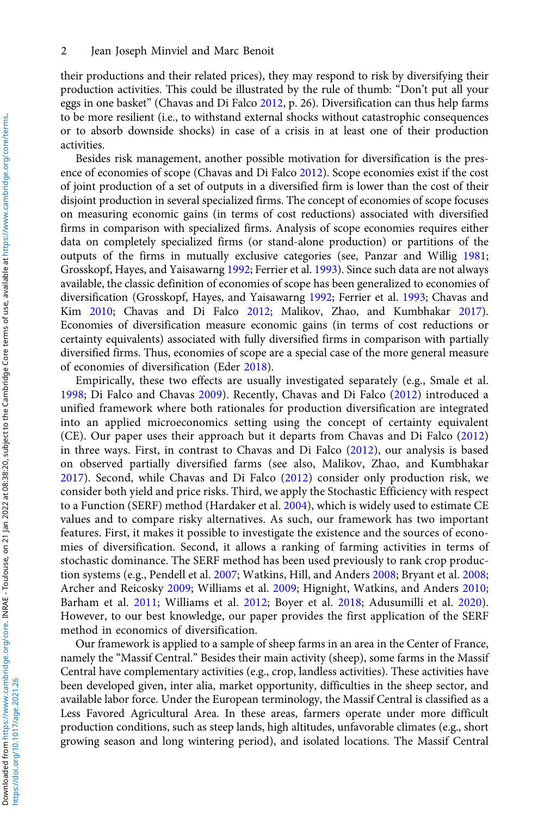their productions and their related prices), they may respond to risk by diversifying their production activities. This could be illustrated by the rule of thumb: "Don't put all your eggs in one basket" (Chavas and Di Falco 2012, p. 26). Diversification can thus help farms to be more resilient (i.e., to withstand external shocks without catastrophic consequences or to absorb downside shocks) in case of a crisis in at least one of their production activities.

Besides risk management, another possible motivation for diversification is the presence of economies of scope (Chavas and Di Falco 2012). Scope economies exist if the cost of joint production of a set of outputs in a diversified firm is lower than the cost of their disjoint production in several specialized firms. The concept of economies of scope focuses on measuring economic gains (in terms of cost reductions) associated with diversified firms in comparison with specialized firms. Analysis of scope economies requires either data on completely specialized firms (or stand-alone production) or partitions of the outputs of the firms in mutually exclusive categories (see, Panzar and Willig 1981; Grosskopf, Hayes, and Yaisawarng 1992; Ferrier et al. 1993). Since such data are not always available, the classic definition of economies of scope has been generalized to economies of diversification (Grosskopf, Hayes, and Yaisawarng 1992; Ferrier et al. 1993; Chavas and Kim 2010; Chavas and Di Falco 2012; Malikov, Zhao, and Kumbhakar 2017). Economies of diversification measure economic gains (in terms of cost reductions or certainty equivalents) associated with fully diversified firms in comparison with partially diversified firms. Thus, economies of scope are a special case of the more general measure of economies of diversification (Eder 2018).

Empirically, these two effects are usually investigated separately (e.g., Smale et al. 1998; Di Falco and Chavas 2009). Recently, Chavas and Di Falco (2012) introduced a unified framework where both rationales for production diversification are integrated into an applied microeconomics setting using the concept of certainty equivalent (CE). Our paper uses their approach but it departs from Chavas and Di Falco (2012) in three ways. First, in contrast to Chavas and Di Falco (2012), our analysis is based on observed partially diversified farms (see also, Malikov, Zhao, and Kumbhakar 2017). Second, while Chavas and Di Falco (2012) consider only production risk, we consider both yield and price risks. Third, we apply the Stochastic Efficiency with respect to a Function (SERF) method (Hardaker et al. 2004), which is widely used to estimate CE values and to compare risky alternatives. As such, our framework has two important features. First, it makes it possible to investigate the existence and the sources of economies of diversification. Second, it allows a ranking of farming activities in terms of stochastic dominance. The SERF method has been used previously to rank crop production systems (e.g., Pendell et al. 2007; Watkins, Hill, and Anders 2008; Bryant et al. 2008; Archer and Reicosky 2009; Williams et al. 2009; Hignight, Watkins, and Anders 2010; Barham et al. 2011; Williams et al. 2012; Boyer et al. 2018; Adusumilli et al. 2020). However, to our best knowledge, our paper provides the first application of the SERF method in economics of diversification.

Our framework is applied to a sample of sheep farms in an area in the Center of France, namely the "Massif Central." Besides their main activity (sheep), some farms in the Massif Central have complementary activities (e.g., crop, landless activities). These activities have been developed given, inter alia, market opportunity, difficulties in the sheep sector, and available labor force. Under the European terminology, the Massif Central is classified as a Less Favored Agricultural Area. In these areas, farmers operate under more difficult production conditions, such as steep lands, high altitudes, unfavorable climates (e.g., short growing season and long wintering period), and isolated locations. The Massif Central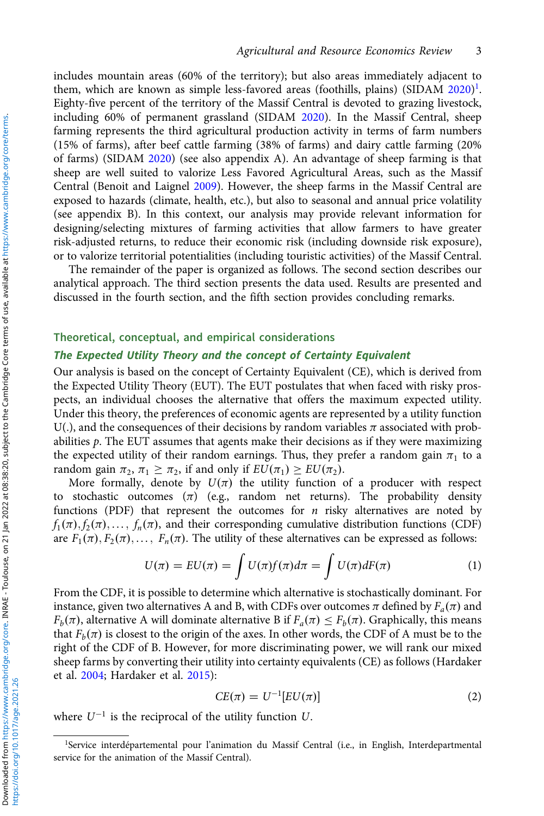includes mountain areas (60% of the territory); but also areas immediately adjacent to them, which are known as simple less-favored areas (foothills, plains) (SIDAM 2020)<sup>1</sup>. Eighty-five percent of the territory of the Massif Central is devoted to grazing livestock, including 60% of permanent grassland (SIDAM 2020). In the Massif Central, sheep farming represents the third agricultural production activity in terms of farm numbers (15% of farms), after beef cattle farming (38% of farms) and dairy cattle farming (20% of farms) (SIDAM 2020) (see also appendix A). An advantage of sheep farming is that sheep are well suited to valorize Less Favored Agricultural Areas, such as the Massif Central (Benoit and Laignel 2009). However, the sheep farms in the Massif Central are exposed to hazards (climate, health, etc.), but also to seasonal and annual price volatility (see appendix B). In this context, our analysis may provide relevant information for designing/selecting mixtures of farming activities that allow farmers to have greater risk-adjusted returns, to reduce their economic risk (including downside risk exposure), or to valorize territorial potentialities (including touristic activities) of the Massif Central.

The remainder of the paper is organized as follows. The second section describes our analytical approach. The third section presents the data used. Results are presented and discussed in the fourth section, and the fifth section provides concluding remarks.

#### Theoretical, conceptual, and empirical considerations The Expected Utility Theory and the concept of Certainty Equivalent

Our analysis is based on the concept of Certainty Equivalent (CE), which is derived from the Expected Utility Theory (EUT). The EUT postulates that when faced with risky prospects, an individual chooses the alternative that offers the maximum expected utility. Under this theory, the preferences of economic agents are represented by a utility function U(.), and the consequences of their decisions by random variables  $\pi$  associated with probabilities  $p$ . The EUT assumes that agents make their decisions as if they were maximizing the expected utility of their random earnings. Thus, they prefer a random gain  $\pi_1$  to a random gain  $\pi_2$ ,  $\pi_1 \geq \pi_2$ , if and only if  $EU(\pi_1) \geq EU(\pi_2)$ .

More formally, denote by  $U(\pi)$  the utility function of a producer with respect to stochastic outcomes  $(\pi)$  (e.g., random net returns). The probability density functions (PDF) that represent the outcomes for  $n$  risky alternatives are noted by  $f_1(\pi), f_2(\pi), \ldots, f_n(\pi)$ , and their corresponding cumulative distribution functions (CDF) are  $F_1(\pi), F_2(\pi), \ldots, F_n(\pi)$ . The utility of these alternatives can be expressed as follows:

$$
U(\pi) = EU(\pi) = \int U(\pi)f(\pi)d\pi = \int U(\pi)dF(\pi)
$$
 (1)

From the CDF, it is possible to determine which alternative is stochastically dominant. For instance, given two alternatives A and B, with CDFs over outcomes  $\pi$  defined by  $F_a(\pi)$  and  $F_b(\pi)$ , alternative A will dominate alternative B if  $F_a(\pi) \leq F_b(\pi)$ . Graphically, this means that  $F_b(\pi)$  is closest to the origin of the axes. In other words, the CDF of A must be to the right of the CDF of B. However, for more discriminating power, we will rank our mixed sheep farms by converting their utility into certainty equivalents (CE) as follows (Hardaker et al. 2004; Hardaker et al. 2015):

$$
CE(\pi) = U^{-1}[EU(\pi)] \tag{2}
$$

where  $U^{-1}$  is the reciprocal of the utility function U.

<sup>&</sup>lt;sup>1</sup>Service interdépartemental pour l'animation du Massif Central (i.e., in English, Interdepartmental service for the animation of the Massif Central).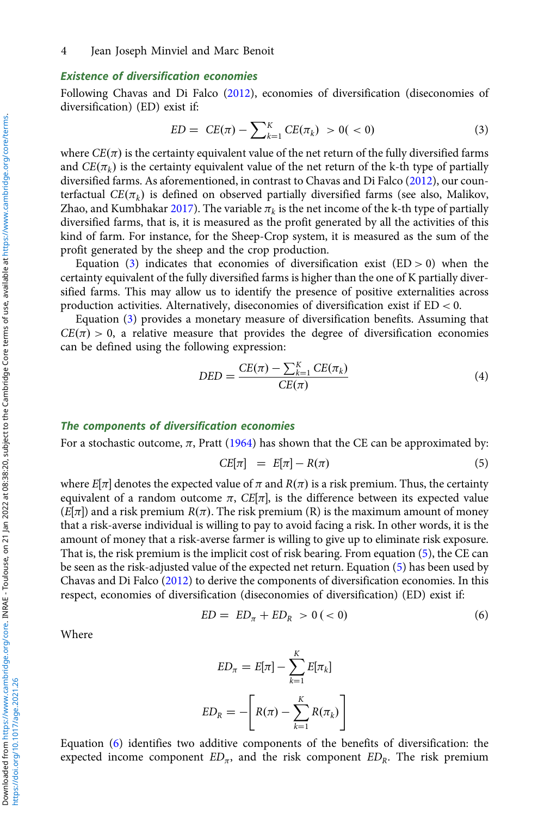#### Existence of diversification economies

Following Chavas and Di Falco (2012), economies of diversification (diseconomies of diversification) (ED) exist if:

$$
ED = CE(\pi) - \sum_{k=1}^{K} CE(\pi_k) > 0( < 0)
$$
\n(3)

where  $CE(\pi)$  is the certainty equivalent value of the net return of the fully diversified farms and  $CE(\pi_k)$  is the certainty equivalent value of the net return of the k-th type of partially diversified farms. As aforementioned, in contrast to Chavas and Di Falco (2012), our counterfactual  $CE(\pi_k)$  is defined on observed partially diversified farms (see also, Malikov, Zhao, and Kumbhakar 2017). The variable  $\pi_k$  is the net income of the k-th type of partially diversified farms, that is, it is measured as the profit generated by all the activities of this kind of farm. For instance, for the Sheep-Crop system, it is measured as the sum of the profit generated by the sheep and the crop production.

Equation (3) indicates that economies of diversification exist  $(ED > 0)$  when the certainty equivalent of the fully diversified farms is higher than the one of K partially diversified farms. This may allow us to identify the presence of positive externalities across production activities. Alternatively, diseconomies of diversification exist if ED < 0.

Equation (3) provides a monetary measure of diversification benefits. Assuming that  $CE(\pi) > 0$ , a relative measure that provides the degree of diversification economies can be defined using the following expression:

$$
DED = \frac{CE(\pi) - \sum_{k=1}^{K} CE(\pi_k)}{CE(\pi)} \tag{4}
$$

#### The components of diversification economies

For a stochastic outcome,  $\pi$ , Pratt (1964) has shown that the CE can be approximated by:

$$
CE[\pi] = E[\pi] - R(\pi) \tag{5}
$$

where  $E[\pi]$  denotes the expected value of  $\pi$  and  $R(\pi)$  is a risk premium. Thus, the certainty equivalent of a random outcome  $\pi$ ,  $CE[\pi]$ , is the difference between its expected value  $(E[\pi])$  and a risk premium  $R(\pi)$ . The risk premium (R) is the maximum amount of money that a risk-averse individual is willing to pay to avoid facing a risk. In other words, it is the amount of money that a risk-averse farmer is willing to give up to eliminate risk exposure. That is, the risk premium is the implicit cost of risk bearing. From equation (5), the CE can be seen as the risk-adjusted value of the expected net return. Equation (5) has been used by Chavas and Di Falco (2012) to derive the components of diversification economies. In this respect, economies of diversification (diseconomies of diversification) (ED) exist if:

$$
ED = ED_{\pi} + ED_{R} > 0 \, (<0)
$$
\n<sup>(6)</sup>

Where

$$
ED_{\pi} = E[\pi] - \sum_{k=1}^{K} E[\pi_k]
$$

$$
ED_R = -\left[R(\pi) - \sum_{k=1}^{K} R(\pi_k)\right]
$$

Equation (6) identifies two additive components of the benefits of diversification: the expected income component  $ED_{\pi}$ , and the risk component  $ED_{R}$ . The risk premium

https://doi.org/10.1017/age.2021.26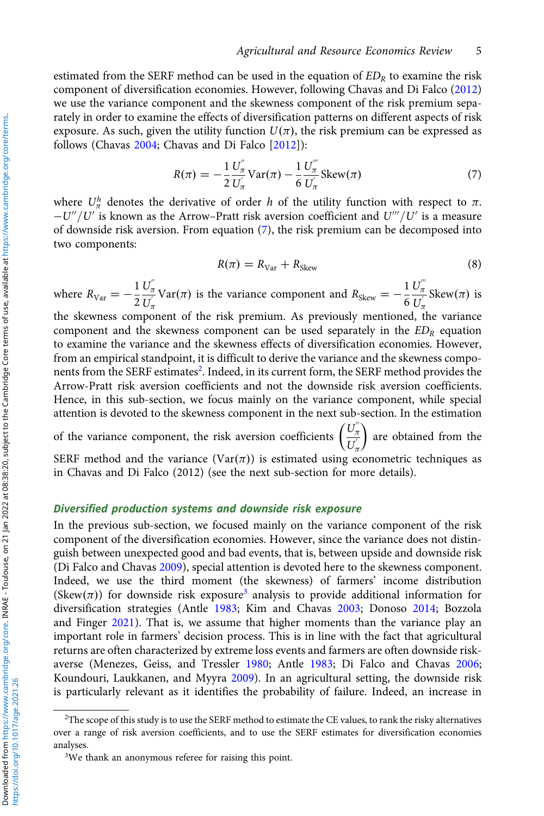estimated from the SERF method can be used in the equation of  $ED<sub>R</sub>$  to examine the risk component of diversification economies. However, following Chavas and Di Falco (2012) we use the variance component and the skewness component of the risk premium separately in order to examine the effects of diversification patterns on different aspects of risk exposure. As such, given the utility function  $U(\pi)$ , the risk premium can be expressed as follows (Chavas 2004; Chavas and Di Falco [2012]):

$$
R(\pi) = -\frac{1}{2} \frac{U_{\pi}^{''}}{U_{\pi}^{'}}
$$
 Var $(\pi)$  -  $\frac{1}{6} \frac{U_{\pi}^{''}}{U_{\pi}^{'}}$  Skew $(\pi)$  (7)

where  $U^h_\pi$  denotes the derivative of order h of the utility function with respect to  $\pi$ .  $-U''/U'$  is known as the Arrow–Pratt risk aversion coefficient and  $U'''/U'$  is a measure of downside risk aversion. From equation (7), the risk premium can be decomposed into two components:

$$
R(\pi) = R_{\text{Var}} + R_{\text{Skew}} \tag{8}
$$

where  $R_{\text{Var}} = -\frac{1}{2}$  $U_\pi^{''}$  $\frac{U_{\pi}'}{U_{\pi}'}$ Var( $\pi$ ) is the variance component and  $R_{Skew} = -\frac{1}{6}$  $U_\pi^{'''}$  $\frac{U_{\pi}}{U_{\pi}}$ Skew $(\pi)$  is

the skewness component of the risk premium. As previously mentioned, the variance component and the skewness component can be used separately in the  $ED<sub>R</sub>$  equation to examine the variance and the skewness effects of diversification economies. However, from an empirical standpoint, it is difficult to derive the variance and the skewness components from the SERF estimates<sup>2</sup>. Indeed, in its current form, the SERF method provides the Arrow-Pratt risk aversion coefficients and not the downside risk aversion coefficients. Hence, in this sub-section, we focus mainly on the variance component, while special attention is devoted to the skewness component in the next sub-section. In the estimation

of the variance component, the risk aversion coefficients  $\left(\frac{U_n^{\pi}}{U_n^{\pi}}\right)$  $U_{\pi}^{'}$  $\left(\frac{U_{\pi}^{''}}{U_{\pi}}\right)$  are obtained from the SERF method and the variance (Var( $\pi$ )) is estimated using econometric techniques as in Chavas and Di Falco (2012) (see the next sub-section for more details).

#### Diversified production systems and downside risk exposure

In the previous sub-section, we focused mainly on the variance component of the risk component of the diversification economies. However, since the variance does not distinguish between unexpected good and bad events, that is, between upside and downside risk (Di Falco and Chavas 2009), special attention is devoted here to the skewness component. Indeed, we use the third moment (the skewness) of farmers' income distribution (Skew( $\pi$ )) for downside risk exposure<sup>3</sup> analysis to provide additional information for diversification strategies (Antle 1983; Kim and Chavas 2003; Donoso 2014; Bozzola and Finger 2021). That is, we assume that higher moments than the variance play an important role in farmers' decision process. This is in line with the fact that agricultural returns are often characterized by extreme loss events and farmers are often downside riskaverse (Menezes, Geiss, and Tressler 1980; Antle 1983; Di Falco and Chavas 2006; Koundouri, Laukkanen, and Myyra 2009). In an agricultural setting, the downside risk is particularly relevant as it identifies the probability of failure. Indeed, an increase in

https://doi.org/10.1017/age.2021.26

<sup>&</sup>lt;sup>2</sup>The scope of this study is to use the SERF method to estimate the CE values, to rank the risky alternatives over a range of risk aversion coefficients, and to use the SERF estimates for diversification economies analyses.

<sup>&</sup>lt;sup>3</sup>We thank an anonymous referee for raising this point.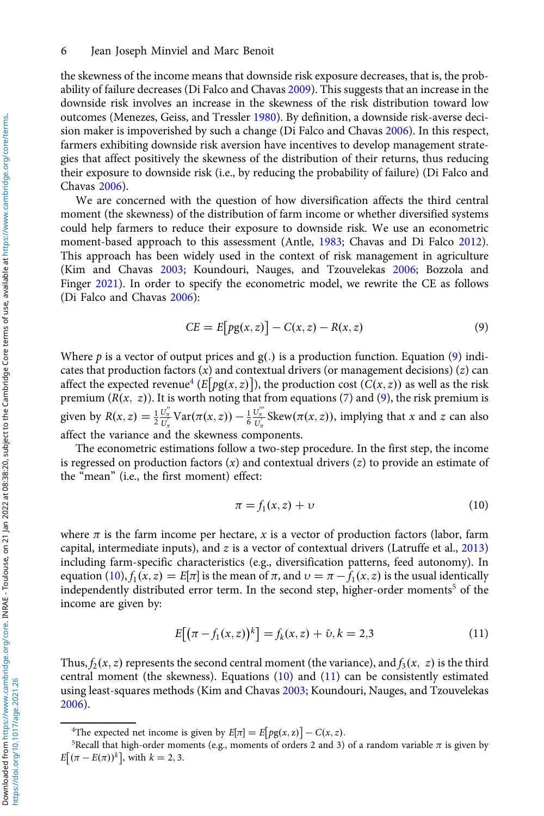#### 6 Jean Joseph Minviel and Marc Benoit

the skewness of the income means that downside risk exposure decreases, that is, the probability of failure decreases (Di Falco and Chavas 2009). This suggests that an increase in the downside risk involves an increase in the skewness of the risk distribution toward low outcomes (Menezes, Geiss, and Tressler 1980). By definition, a downside risk-averse decision maker is impoverished by such a change (Di Falco and Chavas 2006). In this respect, farmers exhibiting downside risk aversion have incentives to develop management strategies that affect positively the skewness of the distribution of their returns, thus reducing their exposure to downside risk (i.e., by reducing the probability of failure) (Di Falco and Chavas 2006).

We are concerned with the question of how diversification affects the third central moment (the skewness) of the distribution of farm income or whether diversified systems could help farmers to reduce their exposure to downside risk. We use an econometric moment-based approach to this assessment (Antle, 1983; Chavas and Di Falco 2012). This approach has been widely used in the context of risk management in agriculture (Kim and Chavas 2003; Koundouri, Nauges, and Tzouvelekas 2006; Bozzola and Finger 2021). In order to specify the econometric model, we rewrite the CE as follows (Di Falco and Chavas 2006):

$$
CE = E[pg(x, z)] - C(x, z) - R(x, z)
$$
\n(9)

Where p is a vector of output prices and  $g(.)$  is a production function. Equation (9) indicates that production factors  $(x)$  and contextual drivers (or management decisions)  $(z)$  can affect the expected revenue<sup>4</sup> (E[pg(x, z)]), the production cost (C(x, z)) as well as the risk premium  $(R(x, z))$ . It is worth noting that from equations (7) and (9), the risk premium is given by  $R(x, z) = \frac{1}{2} \frac{U''_x}{U'_x} \text{Var}(\pi(x, z)) - \frac{1}{6} \frac{U''_x}{U'_x} \text{Skew}(\pi(x, z))$ , implying that x and z can also affect the variance and the skewness components.

The econometric estimations follow a two-step procedure. In the first step, the income is regressed on production factors  $(x)$  and contextual drivers  $(z)$  to provide an estimate of the "mean" (i.e., the first moment) effect:

$$
\pi = f_1(x, z) + \upsilon \tag{10}
$$

where  $\pi$  is the farm income per hectare, x is a vector of production factors (labor, farm capital, intermediate inputs), and z is a vector of contextual drivers (Latruffe et al., 2013) including farm-specific characteristics (e.g., diversification patterns, feed autonomy). In equation (10),  $f_1(x, z) = E[\pi]$  is the mean of π, and  $v = \pi - f_1(x, z)$  is the usual identically independently distributed error term. In the second step, higher-order moments<sup>5</sup> of the income are given by:

$$
E[(\pi - f_1(x, z))^k] = f_k(x, z) + \tilde{\upsilon}, k = 2, 3
$$
\n(11)

Thus,  $f_2(x, z)$  represents the second central moment (the variance), and  $f_3(x, z)$  is the third central moment (the skewness). Equations (10) and (11) can be consistently estimated using least-squares methods (Kim and Chavas 2003; Koundouri, Nauges, and Tzouvelekas 2006).

<sup>&</sup>lt;sup>4</sup>The expected net income is given by  $E[\pi] = E[pg(x, z)] - C(x, z)$ .<br><sup>5</sup>Recall that high-order moments (e.g. moments of orders 2 and 3)

<sup>&</sup>lt;sup>5</sup>Recall that high-order moments (e.g., moments of orders 2 and 3) of a random variable  $\pi$  is given by  $E[(\pi - E(\pi))^k]$ , with  $k = 2, 3$ .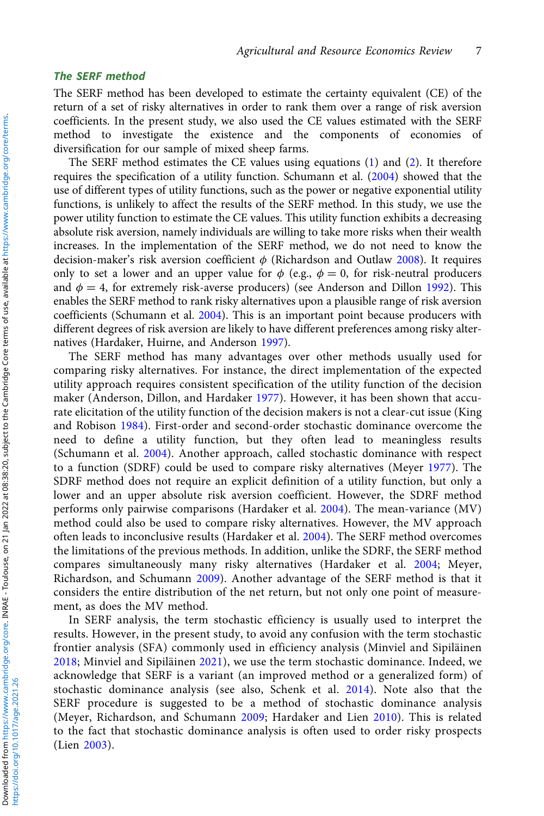#### The SERF method

The SERF method has been developed to estimate the certainty equivalent (CE) of the return of a set of risky alternatives in order to rank them over a range of risk aversion coefficients. In the present study, we also used the CE values estimated with the SERF method to investigate the existence and the components of economies of diversification for our sample of mixed sheep farms.

The SERF method estimates the CE values using equations (1) and (2). It therefore requires the specification of a utility function. Schumann et al. (2004) showed that the use of different types of utility functions, such as the power or negative exponential utility functions, is unlikely to affect the results of the SERF method. In this study, we use the power utility function to estimate the CE values. This utility function exhibits a decreasing absolute risk aversion, namely individuals are willing to take more risks when their wealth increases. In the implementation of the SERF method, we do not need to know the decision-maker's risk aversion coefficient  $\phi$  (Richardson and Outlaw 2008). It requires only to set a lower and an upper value for  $\phi$  (e.g.,  $\phi = 0$ , for risk-neutral producers and  $\phi = 4$ , for extremely risk-averse producers) (see Anderson and Dillon 1992). This enables the SERF method to rank risky alternatives upon a plausible range of risk aversion coefficients (Schumann et al. 2004). This is an important point because producers with different degrees of risk aversion are likely to have different preferences among risky alternatives (Hardaker, Huirne, and Anderson 1997).

The SERF method has many advantages over other methods usually used for comparing risky alternatives. For instance, the direct implementation of the expected utility approach requires consistent specification of the utility function of the decision maker (Anderson, Dillon, and Hardaker 1977). However, it has been shown that accurate elicitation of the utility function of the decision makers is not a clear-cut issue (King and Robison 1984). First-order and second-order stochastic dominance overcome the need to define a utility function, but they often lead to meaningless results (Schumann et al. 2004). Another approach, called stochastic dominance with respect to a function (SDRF) could be used to compare risky alternatives (Meyer 1977). The SDRF method does not require an explicit definition of a utility function, but only a lower and an upper absolute risk aversion coefficient. However, the SDRF method performs only pairwise comparisons (Hardaker et al. 2004). The mean-variance (MV) method could also be used to compare risky alternatives. However, the MV approach often leads to inconclusive results (Hardaker et al. 2004). The SERF method overcomes the limitations of the previous methods. In addition, unlike the SDRF, the SERF method compares simultaneously many risky alternatives (Hardaker et al. 2004; Meyer, Richardson, and Schumann 2009). Another advantage of the SERF method is that it considers the entire distribution of the net return, but not only one point of measurement, as does the MV method.

In SERF analysis, the term stochastic efficiency is usually used to interpret the results. However, in the present study, to avoid any confusion with the term stochastic frontier analysis (SFA) commonly used in efficiency analysis (Minviel and Sipiläinen 2018; Minviel and Sipiläinen 2021), we use the term stochastic dominance. Indeed, we acknowledge that SERF is a variant (an improved method or a generalized form) of stochastic dominance analysis (see also, Schenk et al. 2014). Note also that the SERF procedure is suggested to be a method of stochastic dominance analysis (Meyer, Richardson, and Schumann 2009; Hardaker and Lien 2010). This is related to the fact that stochastic dominance analysis is often used to order risky prospects (Lien 2003).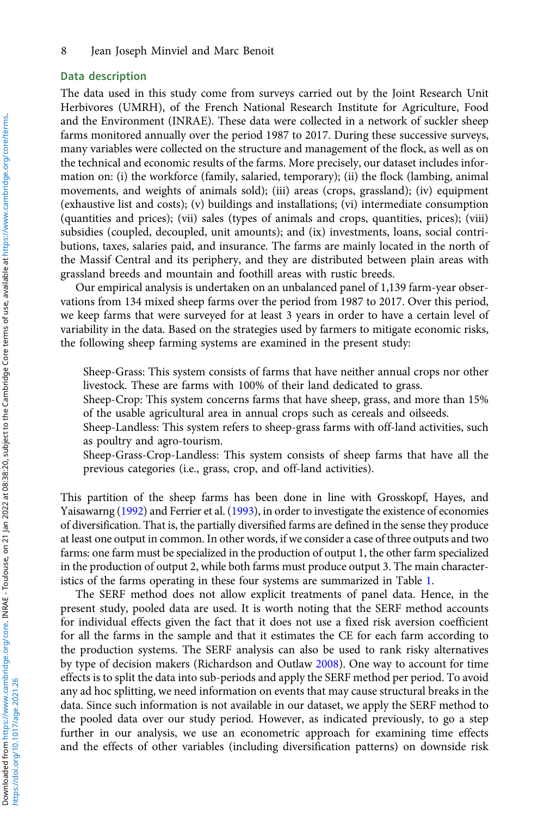#### Data description

The data used in this study come from surveys carried out by the Joint Research Unit Herbivores (UMRH), of the French National Research Institute for Agriculture, Food and the Environment (INRAE). These data were collected in a network of suckler sheep farms monitored annually over the period 1987 to 2017. During these successive surveys, many variables were collected on the structure and management of the flock, as well as on the technical and economic results of the farms. More precisely, our dataset includes information on: (i) the workforce (family, salaried, temporary); (ii) the flock (lambing, animal movements, and weights of animals sold); (iii) areas (crops, grassland); (iv) equipment (exhaustive list and costs); (v) buildings and installations; (vi) intermediate consumption (quantities and prices); (vii) sales (types of animals and crops, quantities, prices); (viii) subsidies (coupled, decoupled, unit amounts); and (ix) investments, loans, social contributions, taxes, salaries paid, and insurance. The farms are mainly located in the north of the Massif Central and its periphery, and they are distributed between plain areas with grassland breeds and mountain and foothill areas with rustic breeds.

Our empirical analysis is undertaken on an unbalanced panel of 1,139 farm-year observations from 134 mixed sheep farms over the period from 1987 to 2017. Over this period, we keep farms that were surveyed for at least 3 years in order to have a certain level of variability in the data. Based on the strategies used by farmers to mitigate economic risks, the following sheep farming systems are examined in the present study:

Sheep-Grass: This system consists of farms that have neither annual crops nor other livestock. These are farms with 100% of their land dedicated to grass.

Sheep-Crop: This system concerns farms that have sheep, grass, and more than 15% of the usable agricultural area in annual crops such as cereals and oilseeds.

Sheep-Landless: This system refers to sheep-grass farms with off-land activities, such as poultry and agro-tourism.

Sheep-Grass-Crop-Landless: This system consists of sheep farms that have all the previous categories (i.e., grass, crop, and off-land activities).

This partition of the sheep farms has been done in line with Grosskopf, Hayes, and Yaisawarng (1992) and Ferrier et al. (1993), in order to investigate the existence of economies of diversification. That is, the partially diversified farms are defined in the sense they produce at least one output in common. In other words, if we consider a case of three outputs and two farms: one farm must be specialized in the production of output 1, the other farm specialized in the production of output 2, while both farms must produce output 3. The main characteristics of the farms operating in these four systems are summarized in Table 1.

The SERF method does not allow explicit treatments of panel data. Hence, in the present study, pooled data are used. It is worth noting that the SERF method accounts for individual effects given the fact that it does not use a fixed risk aversion coefficient for all the farms in the sample and that it estimates the CE for each farm according to the production systems. The SERF analysis can also be used to rank risky alternatives by type of decision makers (Richardson and Outlaw 2008). One way to account for time effects is to split the data into sub-periods and apply the SERF method per period. To avoid any ad hoc splitting, we need information on events that may cause structural breaks in the data. Since such information is not available in our dataset, we apply the SERF method to the pooled data over our study period. However, as indicated previously, to go a step further in our analysis, we use an econometric approach for examining time effects and the effects of other variables (including diversification patterns) on downside risk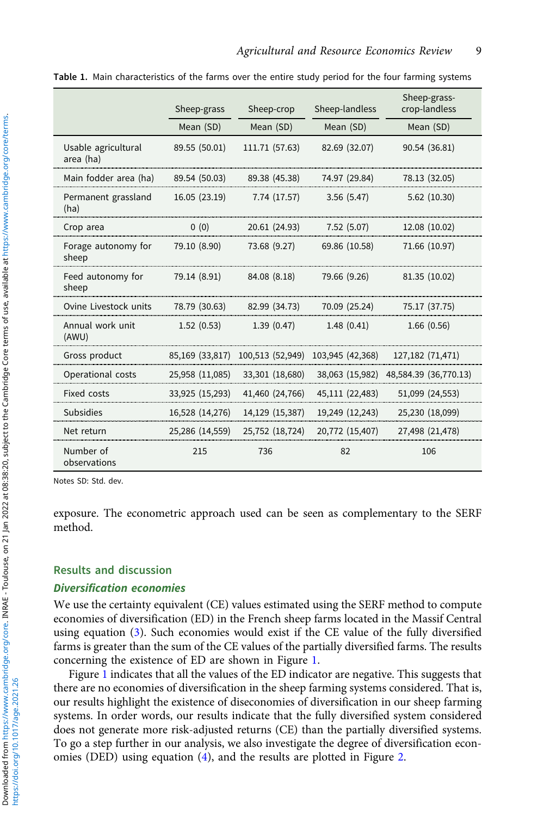|                                  | Sheep-grass     | Sheep-crop       | Sheep-landless   | Sheep-grass-<br>crop-landless |
|----------------------------------|-----------------|------------------|------------------|-------------------------------|
|                                  | Mean (SD)       | Mean (SD)        | Mean (SD)        | Mean (SD)                     |
| Usable agricultural<br>area (ha) | 89.55 (50.01)   | 111.71 (57.63)   | 82.69 (32.07)    | 90.54 (36.81)                 |
| Main fodder area (ha)            | 89.54 (50.03)   | 89.38 (45.38)    | 74.97 (29.84)    | 78.13 (32.05)                 |
| Permanent grassland<br>(ha)      | 16.05 (23.19)   | 7.74 (17.57)     | 3.56(5.47)       | 5.62(10.30)                   |
| Crop area                        | 0(0)            | 20.61 (24.93)    | 7.52(5.07)       | 12.08 (10.02)                 |
| Forage autonomy for<br>sheep     | 79.10 (8.90)    | 73.68 (9.27)     | 69.86 (10.58)    | 71.66 (10.97)                 |
| Feed autonomy for<br>sheep       | 79.14 (8.91)    | 84.08 (8.18)     | 79.66 (9.26)     | 81.35 (10.02)                 |
| Ovine Livestock units            | 78.79 (30.63)   | 82.99 (34.73)    | 70.09 (25.24)    | 75.17 (37.75)                 |
| Annual work unit<br>(AWU)        | 1.52(0.53)      | 1.39(0.47)       | 1.48(0.41)       | 1.66(0.56)                    |
| Gross product                    | 85,169 (33,817) | 100,513 (52,949) | 103,945 (42,368) | 127,182 (71,471)              |
| Operational costs                | 25,958 (11,085) | 33,301 (18,680)  | 38,063 (15,982)  | 48,584.39 (36,770.13)         |
| <b>Fixed costs</b>               | 33,925 (15,293) | 41,460 (24,766)  | 45,111 (22,483)  | 51,099 (24,553)               |
| <b>Subsidies</b>                 | 16,528 (14,276) | 14,129 (15,387)  | 19,249 (12,243)  | 25,230 (18,099)               |
| Net return                       | 25,286 (14,559) | 25,752 (18,724)  | 20,772 (15,407)  | 27,498 (21,478)               |
| Number of<br>observations        | 215             | 736              | 82               | 106                           |

Table 1. Main characteristics of the farms over the entire study period for the four farming systems

Notes SD: Std. dev.

exposure. The econometric approach used can be seen as complementary to the SERF method.

#### Results and discussion

#### Diversification economies

We use the certainty equivalent (CE) values estimated using the SERF method to compute economies of diversification (ED) in the French sheep farms located in the Massif Central using equation (3). Such economies would exist if the CE value of the fully diversified farms is greater than the sum of the CE values of the partially diversified farms. The results concerning the existence of ED are shown in Figure 1.

Figure 1 indicates that all the values of the ED indicator are negative. This suggests that there are no economies of diversification in the sheep farming systems considered. That is, our results highlight the existence of diseconomies of diversification in our sheep farming systems. In order words, our results indicate that the fully diversified system considered does not generate more risk-adjusted returns (CE) than the partially diversified systems. To go a step further in our analysis, we also investigate the degree of diversification economies (DED) using equation (4), and the results are plotted in Figure 2.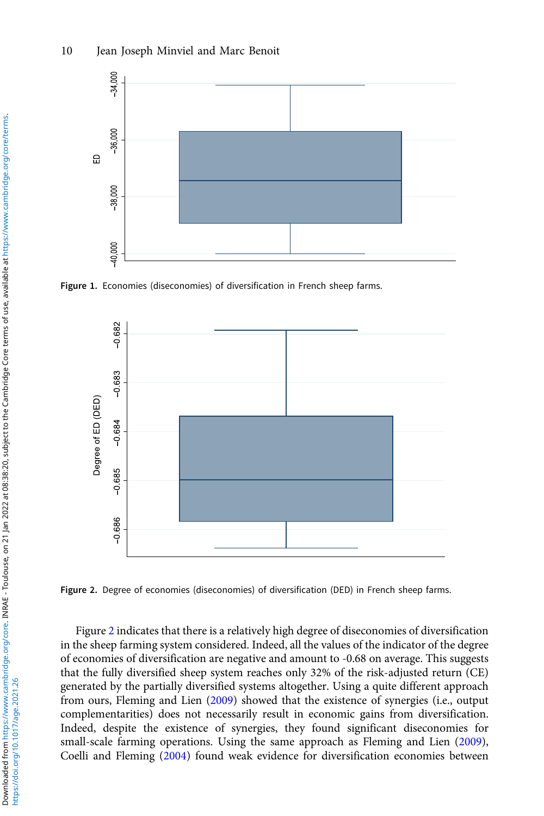

Figure 1. Economies (diseconomies) of diversification in French sheep farms.



Figure 2. Degree of economies (diseconomies) of diversification (DED) in French sheep farms.

Figure 2 indicates that there is a relatively high degree of diseconomies of diversification in the sheep farming system considered. Indeed, all the values of the indicator of the degree of economies of diversification are negative and amount to -0.68 on average. This suggests that the fully diversified sheep system reaches only 32% of the risk-adjusted return (CE) generated by the partially diversified systems altogether. Using a quite different approach from ours, Fleming and Lien (2009) showed that the existence of synergies (i.e., output complementarities) does not necessarily result in economic gains from diversification. Indeed, despite the existence of synergies, they found significant diseconomies for small-scale farming operations. Using the same approach as Fleming and Lien (2009), Coelli and Fleming (2004) found weak evidence for diversification economies between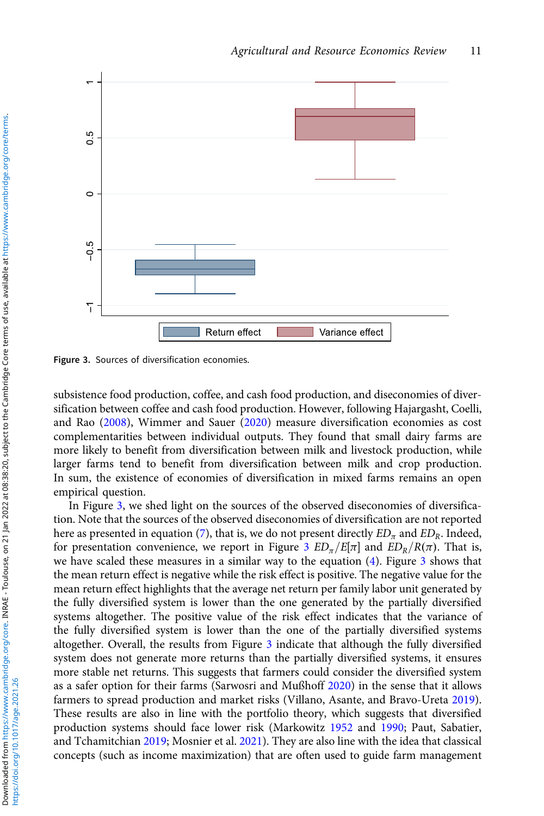

Figure 3. Sources of diversification economies.

subsistence food production, coffee, and cash food production, and diseconomies of diversification between coffee and cash food production. However, following Hajargasht, Coelli, and Rao (2008), Wimmer and Sauer (2020) measure diversification economies as cost complementarities between individual outputs. They found that small dairy farms are more likely to benefit from diversification between milk and livestock production, while larger farms tend to benefit from diversification between milk and crop production. In sum, the existence of economies of diversification in mixed farms remains an open empirical question.

In Figure 3, we shed light on the sources of the observed diseconomies of diversification. Note that the sources of the observed diseconomies of diversification are not reported here as presented in equation (7), that is, we do not present directly  $ED_{\pi}$  and  $ED_{R}$ . Indeed, for presentation convenience, we report in Figure 3  $ED_{\pi}/E[\pi]$  and  $ED_{R}/R(\pi)$ . That is, we have scaled these measures in a similar way to the equation  $(4)$ . Figure 3 shows that the mean return effect is negative while the risk effect is positive. The negative value for the mean return effect highlights that the average net return per family labor unit generated by the fully diversified system is lower than the one generated by the partially diversified systems altogether. The positive value of the risk effect indicates that the variance of the fully diversified system is lower than the one of the partially diversified systems altogether. Overall, the results from Figure 3 indicate that although the fully diversified system does not generate more returns than the partially diversified systems, it ensures more stable net returns. This suggests that farmers could consider the diversified system as a safer option for their farms (Sarwosri and Mußhoff 2020) in the sense that it allows farmers to spread production and market risks (Villano, Asante, and Bravo-Ureta 2019). These results are also in line with the portfolio theory, which suggests that diversified production systems should face lower risk (Markowitz 1952 and 1990; Paut, Sabatier, and Tchamitchian 2019; Mosnier et al. 2021). They are also line with the idea that classical concepts (such as income maximization) that are often used to guide farm management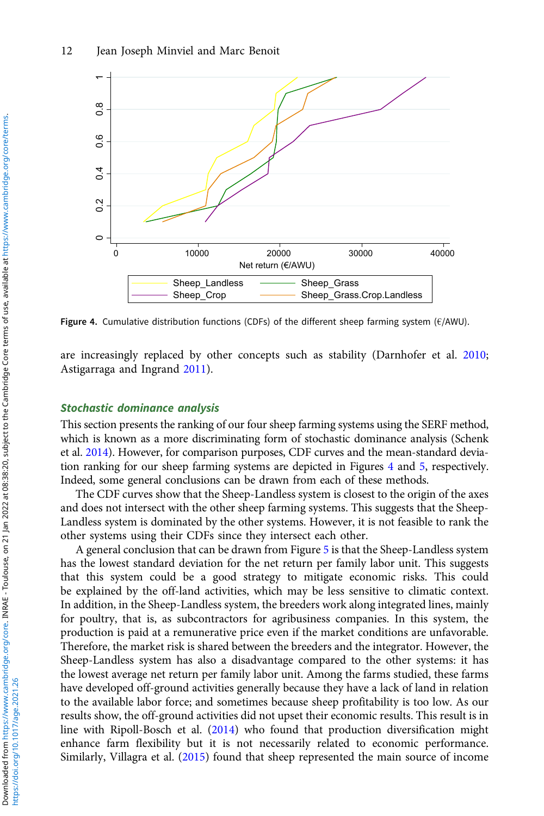

Figure 4. Cumulative distribution functions (CDFs) of the different sheep farming system (€/AWU).

are increasingly replaced by other concepts such as stability (Darnhofer et al. 2010; Astigarraga and Ingrand 2011).

#### Stochastic dominance analysis

This section presents the ranking of our four sheep farming systems using the SERF method, which is known as a more discriminating form of stochastic dominance analysis (Schenk et al. 2014). However, for comparison purposes, CDF curves and the mean-standard deviation ranking for our sheep farming systems are depicted in Figures 4 and 5, respectively. Indeed, some general conclusions can be drawn from each of these methods.

The CDF curves show that the Sheep-Landless system is closest to the origin of the axes and does not intersect with the other sheep farming systems. This suggests that the Sheep-Landless system is dominated by the other systems. However, it is not feasible to rank the other systems using their CDFs since they intersect each other.

A general conclusion that can be drawn from Figure 5 is that the Sheep-Landless system has the lowest standard deviation for the net return per family labor unit. This suggests that this system could be a good strategy to mitigate economic risks. This could be explained by the off-land activities, which may be less sensitive to climatic context. In addition, in the Sheep-Landless system, the breeders work along integrated lines, mainly for poultry, that is, as subcontractors for agribusiness companies. In this system, the production is paid at a remunerative price even if the market conditions are unfavorable. Therefore, the market risk is shared between the breeders and the integrator. However, the Sheep-Landless system has also a disadvantage compared to the other systems: it has the lowest average net return per family labor unit. Among the farms studied, these farms have developed off-ground activities generally because they have a lack of land in relation to the available labor force; and sometimes because sheep profitability is too low. As our results show, the off-ground activities did not upset their economic results. This result is in line with Ripoll-Bosch et al. (2014) who found that production diversification might enhance farm flexibility but it is not necessarily related to economic performance. Similarly, Villagra et al. (2015) found that sheep represented the main source of income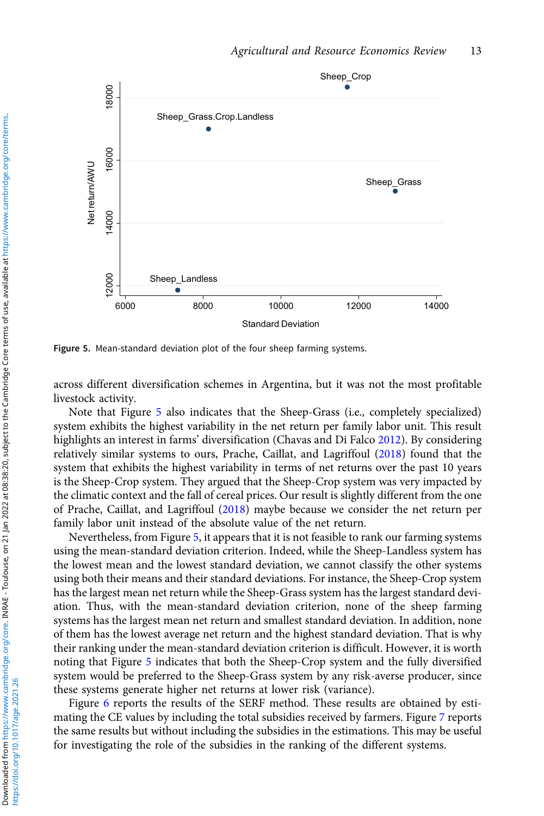

Figure 5. Mean-standard deviation plot of the four sheep farming systems.

across different diversification schemes in Argentina, but it was not the most profitable livestock activity.

Note that Figure 5 also indicates that the Sheep-Grass (i.e., completely specialized) system exhibits the highest variability in the net return per family labor unit. This result highlights an interest in farms' diversification (Chavas and Di Falco 2012). By considering relatively similar systems to ours, Prache, Caillat, and Lagriffoul (2018) found that the system that exhibits the highest variability in terms of net returns over the past 10 years is the Sheep-Crop system. They argued that the Sheep-Crop system was very impacted by the climatic context and the fall of cereal prices. Our result is slightly different from the one of Prache, Caillat, and Lagriffoul (2018) maybe because we consider the net return per family labor unit instead of the absolute value of the net return.

Nevertheless, from Figure 5, it appears that it is not feasible to rank our farming systems using the mean-standard deviation criterion. Indeed, while the Sheep-Landless system has the lowest mean and the lowest standard deviation, we cannot classify the other systems using both their means and their standard deviations. For instance, the Sheep-Crop system has the largest mean net return while the Sheep-Grass system has the largest standard deviation. Thus, with the mean-standard deviation criterion, none of the sheep farming systems has the largest mean net return and smallest standard deviation. In addition, none of them has the lowest average net return and the highest standard deviation. That is why their ranking under the mean-standard deviation criterion is difficult. However, it is worth noting that Figure 5 indicates that both the Sheep-Crop system and the fully diversified system would be preferred to the Sheep-Grass system by any risk-averse producer, since these systems generate higher net returns at lower risk (variance).

Figure 6 reports the results of the SERF method. These results are obtained by estimating the CE values by including the total subsidies received by farmers. Figure 7 reports the same results but without including the subsidies in the estimations. This may be useful for investigating the role of the subsidies in the ranking of the different systems.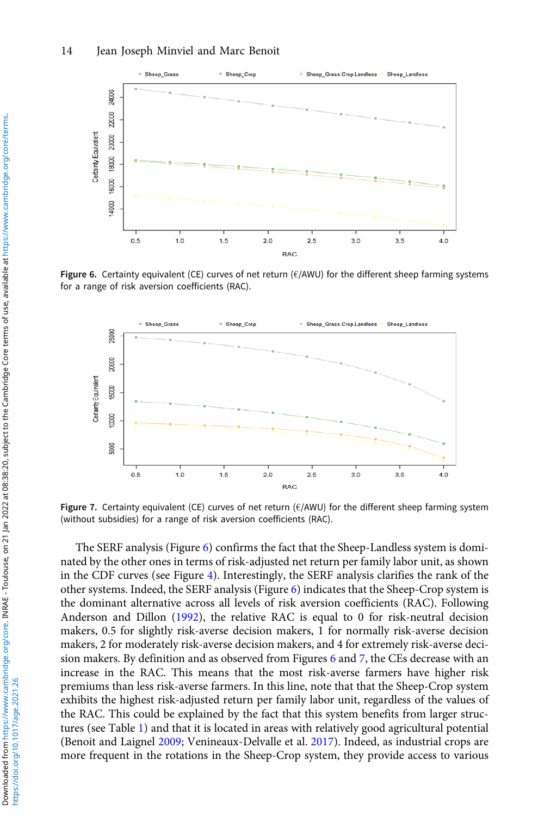

Figure 6. Certainty equivalent (CE) curves of net return ( $E/AWWU$ ) for the different sheep farming systems for a range of risk aversion coefficients (RAC).



Figure 7. Certainty equivalent (CE) curves of net return ( $\epsilon$ /AWU) for the different sheep farming system (without subsidies) for a range of risk aversion coefficients (RAC).

The SERF analysis (Figure  $6$ ) confirms the fact that the Sheep-Landless system is dominated by the other ones in terms of risk-adjusted net return per family labor unit, as shown in the CDF curves (see Figure 4). Interestingly, the SERF analysis clarifies the rank of the other systems. Indeed, the SERF analysis (Figure 6) indicates that the Sheep-Crop system is the dominant alternative across all levels of risk aversion coefficients (RAC). Following Anderson and Dillon (1992), the relative RAC is equal to 0 for risk-neutral decision makers, 0.5 for slightly risk-averse decision makers, 1 for normally risk-averse decision makers, 2 for moderately risk-averse decision makers, and 4 for extremely risk-averse decision makers. By definition and as observed from Figures 6 and 7, the CEs decrease with an increase in the RAC. This means that the most risk-averse farmers have higher risk premiums than less risk-averse farmers. In this line, note that that the Sheep-Crop system exhibits the highest risk-adjusted return per family labor unit, regardless of the values of the RAC. This could be explained by the fact that this system benefits from larger structures (see Table 1) and that it is located in areas with relatively good agricultural potential (Benoit and Laignel 2009; Venineaux-Delvalle et al. 2017). Indeed, as industrial crops are more frequent in the rotations in the Sheep-Crop system, they provide access to various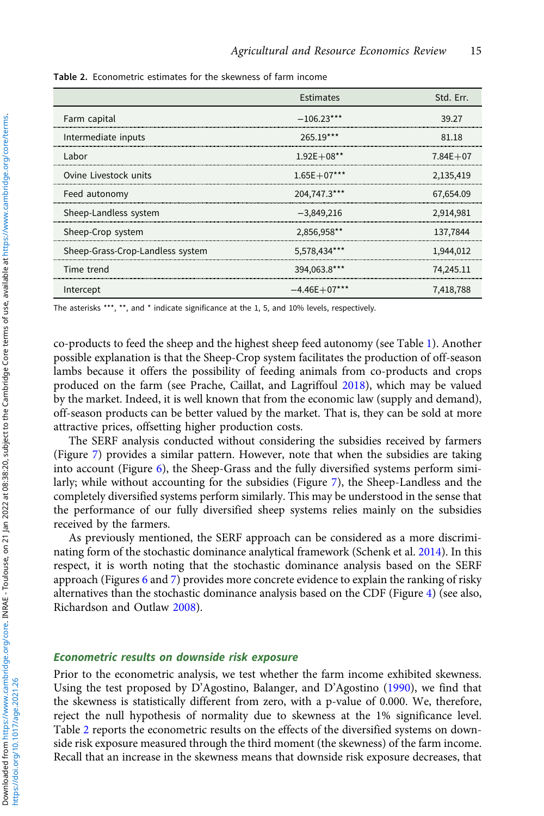|                                  | Estimates      | Std. Err.    |
|----------------------------------|----------------|--------------|
| Farm capital                     | $-106.23***$   | 39.27        |
| Intermediate inputs              | 265.19***      | 81.18        |
| Labor                            | $1.92E + 08**$ | $7.84E + 07$ |
| Ovine Livestock units            | $1.65E+07***$  | 2,135,419    |
| Feed autonomy                    | 204,747.3***   | 67,654.09    |
| Sheep-Landless system            | $-3,849,216$   | 2,914,981    |
| Sheep-Crop system                | 2,856,958**    | 137,7844     |
| Sheep-Grass-Crop-Landless system | 5,578,434***   | 1,944,012    |
| Time trend                       | 394,063.8***   | 74,245.11    |
| Intercept                        | $-4.46E+07***$ | 7,418,788    |

Table 2. Econometric estimates for the skewness of farm income

The asterisks \*\*\*, \*\*, and \* indicate significance at the 1, 5, and 10% levels, respectively.

co-products to feed the sheep and the highest sheep feed autonomy (see Table 1). Another possible explanation is that the Sheep-Crop system facilitates the production of off-season lambs because it offers the possibility of feeding animals from co-products and crops produced on the farm (see Prache, Caillat, and Lagriffoul 2018), which may be valued by the market. Indeed, it is well known that from the economic law (supply and demand), off-season products can be better valued by the market. That is, they can be sold at more attractive prices, offsetting higher production costs.

The SERF analysis conducted without considering the subsidies received by farmers (Figure 7) provides a similar pattern. However, note that when the subsidies are taking into account (Figure  $6$ ), the Sheep-Grass and the fully diversified systems perform similarly; while without accounting for the subsidies (Figure 7), the Sheep-Landless and the completely diversified systems perform similarly. This may be understood in the sense that the performance of our fully diversified sheep systems relies mainly on the subsidies received by the farmers.

As previously mentioned, the SERF approach can be considered as a more discriminating form of the stochastic dominance analytical framework (Schenk et al. 2014). In this respect, it is worth noting that the stochastic dominance analysis based on the SERF approach (Figures 6 and 7) provides more concrete evidence to explain the ranking of risky alternatives than the stochastic dominance analysis based on the CDF (Figure 4) (see also, Richardson and Outlaw 2008).

#### Econometric results on downside risk exposure

Prior to the econometric analysis, we test whether the farm income exhibited skewness. Using the test proposed by D'Agostino, Balanger, and D'Agostino (1990), we find that the skewness is statistically different from zero, with a p-value of 0.000. We, therefore, reject the null hypothesis of normality due to skewness at the 1% significance level. Table 2 reports the econometric results on the effects of the diversified systems on downside risk exposure measured through the third moment (the skewness) of the farm income. Recall that an increase in the skewness means that downside risk exposure decreases, that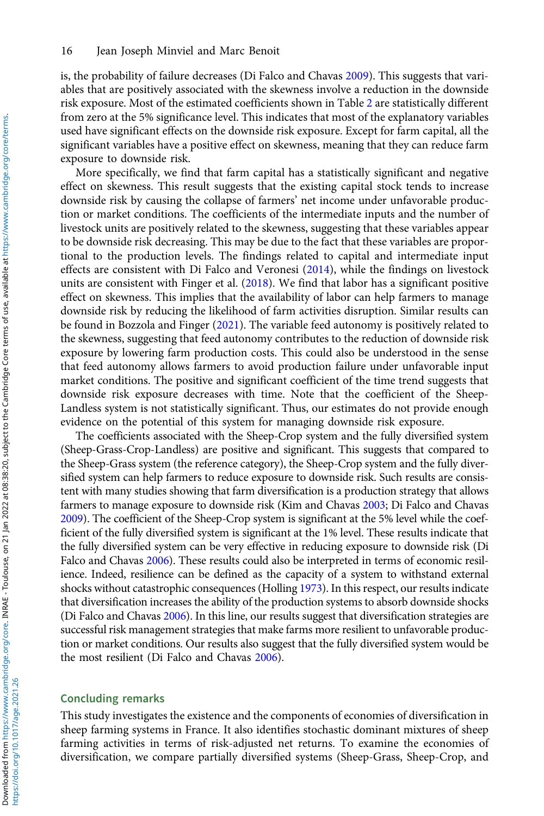is, the probability of failure decreases (Di Falco and Chavas 2009). This suggests that variables that are positively associated with the skewness involve a reduction in the downside risk exposure. Most of the estimated coefficients shown in Table 2 are statistically different from zero at the 5% significance level. This indicates that most of the explanatory variables used have significant effects on the downside risk exposure. Except for farm capital, all the significant variables have a positive effect on skewness, meaning that they can reduce farm exposure to downside risk.

More specifically, we find that farm capital has a statistically significant and negative effect on skewness. This result suggests that the existing capital stock tends to increase downside risk by causing the collapse of farmers' net income under unfavorable production or market conditions. The coefficients of the intermediate inputs and the number of livestock units are positively related to the skewness, suggesting that these variables appear to be downside risk decreasing. This may be due to the fact that these variables are proportional to the production levels. The findings related to capital and intermediate input effects are consistent with Di Falco and Veronesi (2014), while the findings on livestock units are consistent with Finger et al. (2018). We find that labor has a significant positive effect on skewness. This implies that the availability of labor can help farmers to manage downside risk by reducing the likelihood of farm activities disruption. Similar results can be found in Bozzola and Finger (2021). The variable feed autonomy is positively related to the skewness, suggesting that feed autonomy contributes to the reduction of downside risk exposure by lowering farm production costs. This could also be understood in the sense that feed autonomy allows farmers to avoid production failure under unfavorable input market conditions. The positive and significant coefficient of the time trend suggests that downside risk exposure decreases with time. Note that the coefficient of the Sheep-Landless system is not statistically significant. Thus, our estimates do not provide enough evidence on the potential of this system for managing downside risk exposure.

The coefficients associated with the Sheep-Crop system and the fully diversified system (Sheep-Grass-Crop-Landless) are positive and significant. This suggests that compared to the Sheep-Grass system (the reference category), the Sheep-Crop system and the fully diversified system can help farmers to reduce exposure to downside risk. Such results are consistent with many studies showing that farm diversification is a production strategy that allows farmers to manage exposure to downside risk (Kim and Chavas 2003; Di Falco and Chavas 2009). The coefficient of the Sheep-Crop system is significant at the 5% level while the coefficient of the fully diversified system is significant at the 1% level. These results indicate that the fully diversified system can be very effective in reducing exposure to downside risk (Di Falco and Chavas 2006). These results could also be interpreted in terms of economic resilience. Indeed, resilience can be defined as the capacity of a system to withstand external shocks without catastrophic consequences (Holling 1973). In this respect, our results indicate that diversification increases the ability of the production systems to absorb downside shocks (Di Falco and Chavas 2006). In this line, our results suggest that diversification strategies are successful risk management strategies that make farms more resilient to unfavorable production or market conditions. Our results also suggest that the fully diversified system would be the most resilient (Di Falco and Chavas 2006).

#### Concluding remarks

This study investigates the existence and the components of economies of diversification in sheep farming systems in France. It also identifies stochastic dominant mixtures of sheep farming activities in terms of risk-adjusted net returns. To examine the economies of diversification, we compare partially diversified systems (Sheep-Grass, Sheep-Crop, and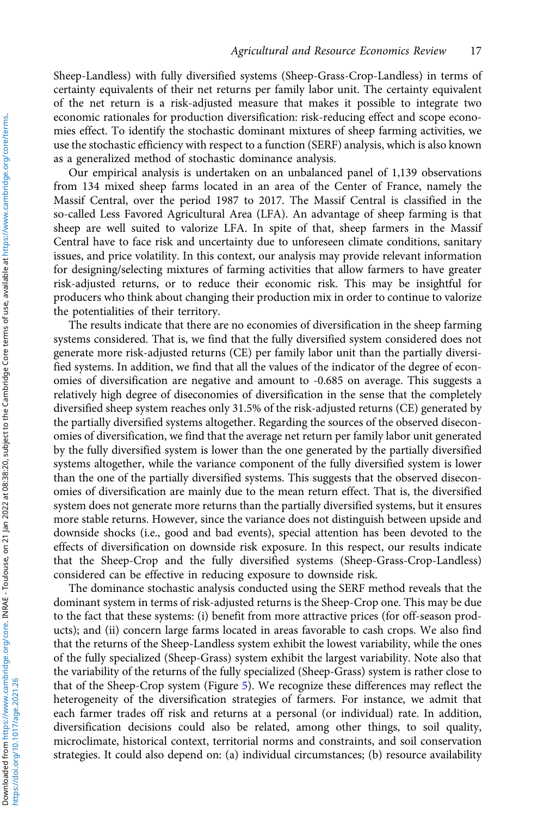Sheep-Landless) with fully diversified systems (Sheep-Grass-Crop-Landless) in terms of certainty equivalents of their net returns per family labor unit. The certainty equivalent of the net return is a risk-adjusted measure that makes it possible to integrate two economic rationales for production diversification: risk-reducing effect and scope economies effect. To identify the stochastic dominant mixtures of sheep farming activities, we use the stochastic efficiency with respect to a function (SERF) analysis, which is also known as a generalized method of stochastic dominance analysis.

Our empirical analysis is undertaken on an unbalanced panel of 1,139 observations from 134 mixed sheep farms located in an area of the Center of France, namely the Massif Central, over the period 1987 to 2017. The Massif Central is classified in the so-called Less Favored Agricultural Area (LFA). An advantage of sheep farming is that sheep are well suited to valorize LFA. In spite of that, sheep farmers in the Massif Central have to face risk and uncertainty due to unforeseen climate conditions, sanitary issues, and price volatility. In this context, our analysis may provide relevant information for designing/selecting mixtures of farming activities that allow farmers to have greater risk-adjusted returns, or to reduce their economic risk. This may be insightful for producers who think about changing their production mix in order to continue to valorize the potentialities of their territory.

The results indicate that there are no economies of diversification in the sheep farming systems considered. That is, we find that the fully diversified system considered does not generate more risk-adjusted returns (CE) per family labor unit than the partially diversified systems. In addition, we find that all the values of the indicator of the degree of economies of diversification are negative and amount to -0.685 on average. This suggests a relatively high degree of diseconomies of diversification in the sense that the completely diversified sheep system reaches only 31.5% of the risk-adjusted returns (CE) generated by the partially diversified systems altogether. Regarding the sources of the observed diseconomies of diversification, we find that the average net return per family labor unit generated by the fully diversified system is lower than the one generated by the partially diversified systems altogether, while the variance component of the fully diversified system is lower than the one of the partially diversified systems. This suggests that the observed diseconomies of diversification are mainly due to the mean return effect. That is, the diversified system does not generate more returns than the partially diversified systems, but it ensures more stable returns. However, since the variance does not distinguish between upside and downside shocks (i.e., good and bad events), special attention has been devoted to the effects of diversification on downside risk exposure. In this respect, our results indicate that the Sheep-Crop and the fully diversified systems (Sheep-Grass-Crop-Landless) considered can be effective in reducing exposure to downside risk.

The dominance stochastic analysis conducted using the SERF method reveals that the dominant system in terms of risk-adjusted returns is the Sheep-Crop one. This may be due to the fact that these systems: (i) benefit from more attractive prices (for off-season products); and (ii) concern large farms located in areas favorable to cash crops. We also find that the returns of the Sheep-Landless system exhibit the lowest variability, while the ones of the fully specialized (Sheep-Grass) system exhibit the largest variability. Note also that the variability of the returns of the fully specialized (Sheep-Grass) system is rather close to that of the Sheep-Crop system (Figure 5). We recognize these differences may reflect the heterogeneity of the diversification strategies of farmers. For instance, we admit that each farmer trades off risk and returns at a personal (or individual) rate. In addition, diversification decisions could also be related, among other things, to soil quality, microclimate, historical context, territorial norms and constraints, and soil conservation strategies. It could also depend on: (a) individual circumstances; (b) resource availability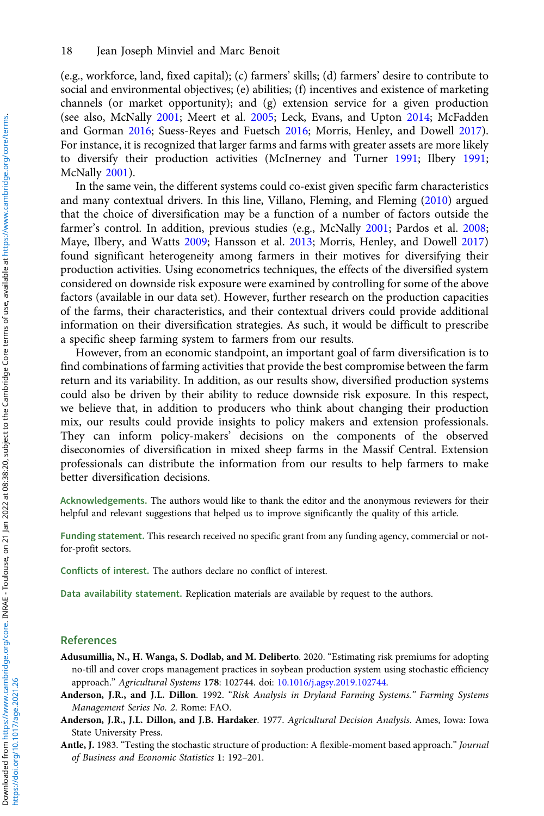(e.g., workforce, land, fixed capital); (c) farmers' skills; (d) farmers' desire to contribute to social and environmental objectives; (e) abilities; (f) incentives and existence of marketing channels (or market opportunity); and (g) extension service for a given production (see also, McNally 2001; Meert et al. 2005; Leck, Evans, and Upton 2014; McFadden and Gorman 2016; Suess-Reyes and Fuetsch 2016; Morris, Henley, and Dowell 2017). For instance, it is recognized that larger farms and farms with greater assets are more likely to diversify their production activities (McInerney and Turner 1991; Ilbery 1991; McNally 2001).

In the same vein, the different systems could co-exist given specific farm characteristics and many contextual drivers. In this line, Villano, Fleming, and Fleming (2010) argued that the choice of diversification may be a function of a number of factors outside the farmer's control. In addition, previous studies (e.g., McNally 2001; Pardos et al. 2008; Maye, Ilbery, and Watts 2009; Hansson et al. 2013; Morris, Henley, and Dowell 2017) found significant heterogeneity among farmers in their motives for diversifying their production activities. Using econometrics techniques, the effects of the diversified system considered on downside risk exposure were examined by controlling for some of the above factors (available in our data set). However, further research on the production capacities of the farms, their characteristics, and their contextual drivers could provide additional information on their diversification strategies. As such, it would be difficult to prescribe a specific sheep farming system to farmers from our results.

However, from an economic standpoint, an important goal of farm diversification is to find combinations of farming activities that provide the best compromise between the farm return and its variability. In addition, as our results show, diversified production systems could also be driven by their ability to reduce downside risk exposure. In this respect, we believe that, in addition to producers who think about changing their production mix, our results could provide insights to policy makers and extension professionals. They can inform policy-makers' decisions on the components of the observed diseconomies of diversification in mixed sheep farms in the Massif Central. Extension professionals can distribute the information from our results to help farmers to make better diversification decisions.

Acknowledgements. The authors would like to thank the editor and the anonymous reviewers for their helpful and relevant suggestions that helped us to improve significantly the quality of this article.

Funding statement. This research received no specific grant from any funding agency, commercial or notfor-profit sectors.

Conflicts of interest. The authors declare no conflict of interest.

Data availability statement. Replication materials are available by request to the authors.

#### References

- Adusumillia, N., H. Wanga, S. Dodlab, and M. Deliberto. 2020. "Estimating risk premiums for adopting no-till and cover crops management practices in soybean production system using stochastic efficiency approach." Agricultural Systems 178: 102744. doi: [10.1016/j.agsy.2019.102744.](https://doi.org/10.1016/j.agsy.2019.102744)
- Anderson, J.R., and J.L. Dillon. 1992. "Risk Analysis in Dryland Farming Systems." Farming Systems Management Series No. 2. Rome: FAO.
- Anderson, J.R., J.L. Dillon, and J.B. Hardaker. 1977. Agricultural Decision Analysis. Ames, Iowa: Iowa State University Press.

Antle, J. 1983. "Testing the stochastic structure of production: A flexible-moment based approach." Journal of Business and Economic Statistics 1: 192–201.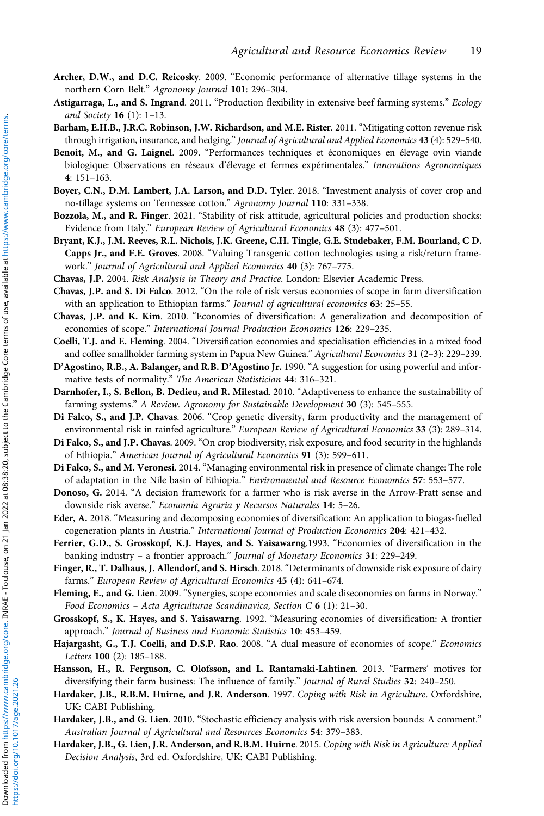- Archer, D.W., and D.C. Reicosky. 2009. "Economic performance of alternative tillage systems in the northern Corn Belt." Agronomy Journal 101: 296–304.
- Astigarraga, L., and S. Ingrand. 2011. "Production flexibility in extensive beef farming systems." Ecology and Society 16 (1): 1–13.
- Barham, E.H.B., J.R.C. Robinson, J.W. Richardson, and M.E. Rister. 2011. "Mitigating cotton revenue risk through irrigation, insurance, and hedging." Journal of Agricultural and Applied Economics 43 (4): 529-540.
- Benoit, M., and G. Laignel. 2009. "Performances techniques et économiques en élevage ovin viande biologique: Observations en réseaux d'élevage et fermes expérimentales." Innovations Agronomiques 4: 151–163.
- Boyer, C.N., D.M. Lambert, J.A. Larson, and D.D. Tyler. 2018. "Investment analysis of cover crop and no-tillage systems on Tennessee cotton." Agronomy Journal 110: 331-338.
- Bozzola, M., and R. Finger. 2021. "Stability of risk attitude, agricultural policies and production shocks: Evidence from Italy." European Review of Agricultural Economics 48 (3): 477–501.
- Bryant, K.J., J.M. Reeves, R.L. Nichols, J.K. Greene, C.H. Tingle, G.E. Studebaker, F.M. Bourland, C D. Capps Jr., and F.E. Groves. 2008. "Valuing Transgenic cotton technologies using a risk/return framework." Journal of Agricultural and Applied Economics 40 (3): 767–775.
- Chavas, J.P. 2004. Risk Analysis in Theory and Practice. London: Elsevier Academic Press.
- Chavas, J.P. and S. Di Falco. 2012. "On the role of risk versus economies of scope in farm diversification with an application to Ethiopian farms." Journal of agricultural economics 63: 25-55.
- Chavas, J.P. and K. Kim. 2010. "Economies of diversification: A generalization and decomposition of economies of scope." International Journal Production Economics 126: 229–235.
- Coelli, T.J. and E. Fleming. 2004. "Diversification economies and specialisation efficiencies in a mixed food and coffee smallholder farming system in Papua New Guinea." Agricultural Economics 31 (2-3): 229-239.
- D'Agostino, R.B., A. Balanger, and R.B. D'Agostino Jr. 1990. "A suggestion for using powerful and informative tests of normality." The American Statistician 44: 316–321.
- Darnhofer, I., S. Bellon, B. Dedieu, and R. Milestad. 2010. "Adaptiveness to enhance the sustainability of farming systems." A Review. Agronomy for Sustainable Development 30 (3): 545-555.
- Di Falco, S., and J.P. Chavas. 2006. "Crop genetic diversity, farm productivity and the management of environmental risk in rainfed agriculture." European Review of Agricultural Economics 33 (3): 289-314.
- Di Falco, S., and J.P. Chavas. 2009. "On crop biodiversity, risk exposure, and food security in the highlands of Ethiopia." American Journal of Agricultural Economics 91 (3): 599-611.
- Di Falco, S., and M. Veronesi. 2014. "Managing environmental risk in presence of climate change: The role of adaptation in the Nile basin of Ethiopia." Environmental and Resource Economics 57: 553–577.
- Donoso, G. 2014. "A decision framework for a farmer who is risk averse in the Arrow-Pratt sense and downside risk averse." Economía Agraria y Recursos Naturales 14: 5–26.
- Eder, A. 2018. "Measuring and decomposing economies of diversification: An application to biogas-fuelled cogeneration plants in Austria." International Journal of Production Economics 204: 421–432.
- Ferrier, G.D., S. Grosskopf, K.J. Hayes, and S. Yaisawarng.1993. "Economies of diversification in the banking industry – a frontier approach." Journal of Monetary Economics 31: 229–249.
- Finger, R., T. Dalhaus, J. Allendorf, and S. Hirsch. 2018. "Determinants of downside risk exposure of dairy farms." European Review of Agricultural Economics 45 (4): 641–674.
- Fleming, E., and G. Lien. 2009. "Synergies, scope economies and scale diseconomies on farms in Norway." Food Economics - Acta Agriculturae Scandinavica, Section C  $6$  (1): 21-30.
- Grosskopf, S., K. Hayes, and S. Yaisawarng. 1992. "Measuring economies of diversification: A frontier approach." Journal of Business and Economic Statistics 10: 453–459.
- Hajargasht, G., T.J. Coelli, and D.S.P. Rao. 2008. "A dual measure of economies of scope." Economics Letters 100 (2): 185–188.
- Hansson, H., R. Ferguson, C. Olofsson, and L. Rantamaki-Lahtinen. 2013. "Farmers' motives for diversifying their farm business: The influence of family." Journal of Rural Studies 32: 240–250.
- Hardaker, J.B., R.B.M. Huirne, and J.R. Anderson. 1997. Coping with Risk in Agriculture. Oxfordshire, UK: CABI Publishing.
- Hardaker, J.B., and G. Lien. 2010. "Stochastic efficiency analysis with risk aversion bounds: A comment." Australian Journal of Agricultural and Resources Economics 54: 379–383.
- Hardaker, J.B., G. Lien, J.R. Anderson, and R.B.M. Huirne. 2015. Coping with Risk in Agriculture: Applied Decision Analysis, 3rd ed. Oxfordshire, UK: CABI Publishing.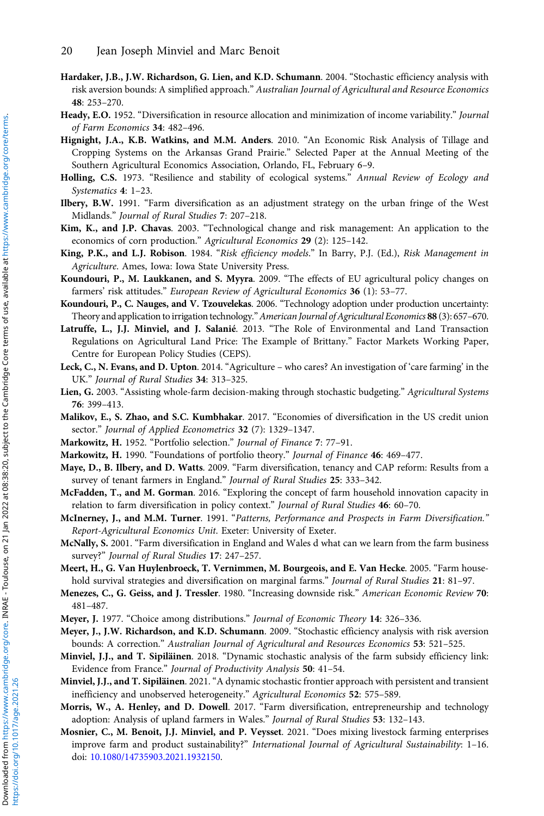- Hardaker, J.B., J.W. Richardson, G. Lien, and K.D. Schumann. 2004. "Stochastic efficiency analysis with risk aversion bounds: A simplified approach." Australian Journal of Agricultural and Resource Economics 48: 253–270.
- Heady, E.O. 1952. "Diversification in resource allocation and minimization of income variability." Journal of Farm Economics 34: 482–496.
- Hignight, J.A., K.B. Watkins, and M.M. Anders. 2010. "An Economic Risk Analysis of Tillage and Cropping Systems on the Arkansas Grand Prairie." Selected Paper at the Annual Meeting of the Southern Agricultural Economics Association, Orlando, FL, February 6–9.
- Holling, C.S. 1973. "Resilience and stability of ecological systems." Annual Review of Ecology and Systematics 4: 1–23.
- Ilbery, B.W. 1991. "Farm diversification as an adjustment strategy on the urban fringe of the West Midlands." Journal of Rural Studies 7: 207–218.
- Kim, K., and J.P. Chavas. 2003. "Technological change and risk management: An application to the economics of corn production." Agricultural Economics 29 (2): 125–142.
- King, P.K., and L.J. Robison. 1984. "Risk efficiency models." In Barry, P.J. (Ed.), Risk Management in Agriculture. Ames, Iowa: Iowa State University Press.
- Koundouri, P., M. Laukkanen, and S. Myyra. 2009. "The effects of EU agricultural policy changes on farmers' risk attitudes." European Review of Agricultural Economics 36 (1): 53–77.
- Koundouri, P., C. Nauges, and V. Tzouvelekas. 2006. "Technology adoption under production uncertainty: Theory and application to irrigation technology."American Journal of Agricultural Economics 88 (3): 657–670.
- Latruffe, L., J.J. Minviel, and J. Salanié. 2013. "The Role of Environmental and Land Transaction Regulations on Agricultural Land Price: The Example of Brittany." Factor Markets Working Paper, Centre for European Policy Studies (CEPS).
- Leck, C., N. Evans, and D. Upton. 2014. "Agriculture who cares? An investigation of 'care farming' in the UK." Journal of Rural Studies 34: 313–325.
- Lien, G. 2003. "Assisting whole-farm decision-making through stochastic budgeting." Agricultural Systems 76: 399–413.
- Malikov, E., S. Zhao, and S.C. Kumbhakar. 2017. "Economies of diversification in the US credit union sector." Journal of Applied Econometrics 32 (7): 1329-1347.
- Markowitz, H. 1952. "Portfolio selection." Journal of Finance 7: 77–91.
- Markowitz, H. 1990. "Foundations of portfolio theory." Journal of Finance 46: 469–477.
- Maye, D., B. Ilbery, and D. Watts. 2009. "Farm diversification, tenancy and CAP reform: Results from a survey of tenant farmers in England." Journal of Rural Studies 25: 333–342.
- McFadden, T., and M. Gorman. 2016. "Exploring the concept of farm household innovation capacity in relation to farm diversification in policy context." Journal of Rural Studies 46: 60–70.
- McInerney, J., and M.M. Turner. 1991. "Patterns, Performance and Prospects in Farm Diversification." Report-Agricultural Economics Unit. Exeter: University of Exeter.
- McNally, S. 2001. "Farm diversification in England and Wales d what can we learn from the farm business survey?" Journal of Rural Studies 17: 247–257.
- Meert, H., G. Van Huylenbroeck, T. Vernimmen, M. Bourgeois, and E. Van Hecke. 2005. "Farm household survival strategies and diversification on marginal farms." Journal of Rural Studies 21: 81-97.
- Menezes, C., G. Geiss, and J. Tressler. 1980. "Increasing downside risk." American Economic Review 70: 481–487.
- Meyer, J. 1977. "Choice among distributions." Journal of Economic Theory 14: 326–336.
- Meyer, J., J.W. Richardson, and K.D. Schumann. 2009. "Stochastic efficiency analysis with risk aversion bounds: A correction." Australian Journal of Agricultural and Resources Economics 53: 521–525.
- Minviel, J.J., and T. Sipiläinen. 2018. "Dynamic stochastic analysis of the farm subsidy efficiency link: Evidence from France." Journal of Productivity Analysis 50: 41–54.
- Minviel, J.J., and T. Sipiläinen. 2021."A dynamic stochastic frontier approach with persistent and transient inefficiency and unobserved heterogeneity." Agricultural Economics 52: 575–589.
- Morris, W., A. Henley, and D. Dowell. 2017. "Farm diversification, entrepreneurship and technology adoption: Analysis of upland farmers in Wales." Journal of Rural Studies 53: 132–143.
- Mosnier, C., M. Benoit, J.J. Minviel, and P. Veysset. 2021. "Does mixing livestock farming enterprises improve farm and product sustainability?" International Journal of Agricultural Sustainability: 1–16. doi: [10.1080/14735903.2021.1932150.](https://doi.org/10.1080/14735903.2021.1932150)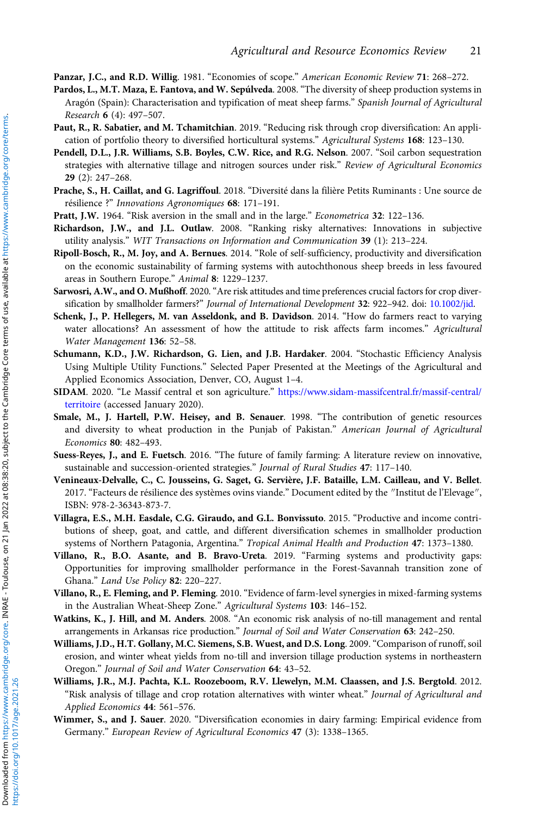Panzar, J.C., and R.D. Willig. 1981. "Economies of scope." American Economic Review 71: 268–272.

- Pardos, L., M.T. Maza, E. Fantova, and W. Sepúlveda. 2008. "The diversity of sheep production systems in Aragón (Spain): Characterisation and typification of meat sheep farms." Spanish Journal of Agricultural Research 6 (4): 497–507.
- Paut, R., R. Sabatier, and M. Tchamitchian. 2019. "Reducing risk through crop diversification: An application of portfolio theory to diversified horticultural systems." Agricultural Systems 168: 123-130.
- Pendell, D.L., J.R. Williams, S.B. Boyles, C.W. Rice, and R.G. Nelson. 2007. "Soil carbon sequestration strategies with alternative tillage and nitrogen sources under risk." Review of Agricultural Economics 29 (2): 247–268.
- Prache, S., H. Caillat, and G. Lagriffoul. 2018. "Diversité dans la filière Petits Ruminants : Une source de résilience ?" Innovations Agronomiques 68: 171-191.
- Pratt, J.W. 1964. "Risk aversion in the small and in the large." Econometrica 32: 122–136.
- Richardson, J.W., and J.L. Outlaw. 2008. "Ranking risky alternatives: Innovations in subjective utility analysis." WIT Transactions on Information and Communication 39 (1): 213–224.
- Ripoll-Bosch, R., M. Joy, and A. Bernues. 2014. "Role of self-sufficiency, productivity and diversification on the economic sustainability of farming systems with autochthonous sheep breeds in less favoured areas in Southern Europe." Animal 8: 1229–1237.
- Sarwosri, A.W., and O. Mußhoff. 2020. "Are risk attitudes and time preferences crucial factors for crop diver-sification by smallholder farmers?" Journal of International Development 32: 922-942. doi: [10.1002/jid.](https://doi.org/10.1002/jid)
- Schenk, J., P. Hellegers, M. van Asseldonk, and B. Davidson. 2014. "How do farmers react to varying water allocations? An assessment of how the attitude to risk affects farm incomes." Agricultural Water Management 136: 52–58.
- Schumann, K.D., J.W. Richardson, G. Lien, and J.B. Hardaker. 2004. "Stochastic Efficiency Analysis Using Multiple Utility Functions." Selected Paper Presented at the Meetings of the Agricultural and Applied Economics Association, Denver, CO, August 1–4.
- SIDAM. 2020. "Le Massif central et son agriculture." [https://www.sidam-massifcentral.fr/massif-central/](https://www.sidam-massifcentral.fr/massif-central/territoire) [territoire](https://www.sidam-massifcentral.fr/massif-central/territoire) (accessed January 2020).
- Smale, M., J. Hartell, P.W. Heisey, and B. Senauer. 1998. "The contribution of genetic resources and diversity to wheat production in the Punjab of Pakistan." American Journal of Agricultural Economics 80: 482–493.
- Suess-Reyes, J., and E. Fuetsch. 2016. "The future of family farming: A literature review on innovative, sustainable and succession-oriented strategies." Journal of Rural Studies 47: 117-140.
- Venineaux-Delvalle, C., C. Jousseins, G. Saget, G. Servière, J.F. Bataille, L.M. Cailleau, and V. Bellet. 2017. "Facteurs de résilience des systèmes ovins viande." Document edited by the "Institut de l'Elevage", ISBN: 978-2-36343-873-7.
- Villagra, E.S., M.H. Easdale, C.G. Giraudo, and G.L. Bonvissuto. 2015. "Productive and income contributions of sheep, goat, and cattle, and different diversification schemes in smallholder production systems of Northern Patagonia, Argentina." Tropical Animal Health and Production 47: 1373–1380.
- Villano, R., B.O. Asante, and B. Bravo-Ureta. 2019. "Farming systems and productivity gaps: Opportunities for improving smallholder performance in the Forest-Savannah transition zone of Ghana." Land Use Policy 82: 220–227.
- Villano, R., E. Fleming, and P. Fleming. 2010. "Evidence of farm-level synergies in mixed-farming systems in the Australian Wheat-Sheep Zone." Agricultural Systems 103: 146–152.
- Watkins, K., J. Hill, and M. Anders. 2008. "An economic risk analysis of no-till management and rental arrangements in Arkansas rice production." Journal of Soil and Water Conservation 63: 242–250.
- Williams, J.D., H.T. Gollany, M.C. Siemens, S.B. Wuest, and D.S. Long. 2009."Comparison of runoff, soil erosion, and winter wheat yields from no-till and inversion tillage production systems in northeastern Oregon." Journal of Soil and Water Conservation 64: 43–52.
- Williams, J.R., M.J. Pachta, K.L. Roozeboom, R.V. Llewelyn, M.M. Claassen, and J.S. Bergtold. 2012. "Risk analysis of tillage and crop rotation alternatives with winter wheat." Journal of Agricultural and Applied Economics 44: 561–576.
- Wimmer, S., and J. Sauer. 2020. "Diversification economies in dairy farming: Empirical evidence from Germany." European Review of Agricultural Economics 47 (3): 1338–1365.